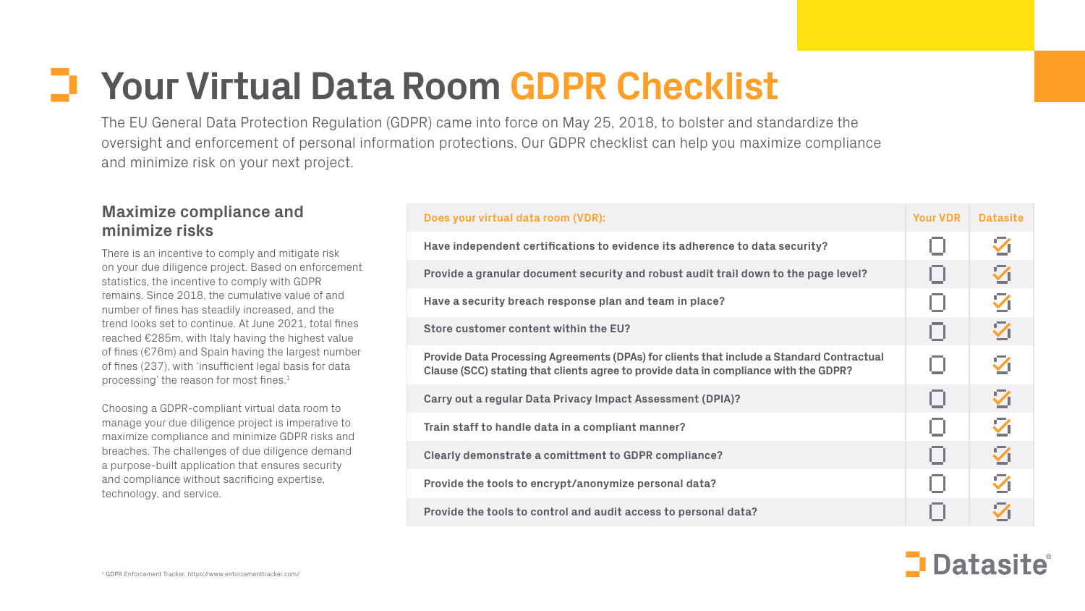# **Your Virtual Data Room GDPR Checklist**

The EU General Data Protection Regulation (GDPR) came into force on May 25, 2018, to bolster and standardize the oversight and enforcement of personal information protections. Our GDPR checklist can help you maximize compliance and minimize risk on your next project.

There is an incentive to comply and mitigate risk on your due diligence project. Based on enforcement statistics, the incentive to comply with GDPR remains. Since 2018, the cumulative value of and number of fines has steadily increased, and the trend looks set to continue. At June 2021, total fines reached €285m, with Italy having the highest value of fines (€76m) and Spain having the largest number of fines (237), with 'insufficient legal basis for data processing' the reason for most fines.<sup>1</sup>

### **Maximize compliance and minimize risks**

Provide Data Processing Agreements (DPAs) for clients that include a Standard Cont **Clause (SCC) stating that clients agree to provide data in compliance with the GDPR?**

Choosing a GDPR-compliant virtual data room to manage your due diligence project is imperative to maximize compliance and minimize GDPR risks and breaches. The challenges of due diligence demand a purpose-built application that ensures security and compliance without sacrificing expertise, technology, and service.

#### **Does your virtual data room (VDR):**

**Have independent certifications to evidence its adherence to data security?**

Provide a granular document security and robust audit trail down to the page lev

**Have a security breach response plan and team in place?**

**Store customer content within the EU?**

**Carry out a regular Data Privacy Impact Assessment (DPIA)?**

**Train staff to handle data in a compliant manner?**

**Clearly demonstrate a comittment to GDPR compliance?**

**Provide the tools to encrypt/anonymize personal data?**

**Provide the tools to control and audit access to personal data?**

|                           | <b>Your VDR</b> | <b>Datasite</b>         |
|---------------------------|-----------------|-------------------------|
|                           | Ο               | $\overline{\mathbf{Z}}$ |
| vel?                      | $\Box$          | 乙                       |
|                           | ο               | $\overline{\mathbf{Z}}$ |
|                           | ο               | 么                       |
| ractual<br>$\overline{?}$ | Ο               | $\overline{\mathbf{Z}}$ |
|                           | Ο               | $\overline{\mathbf{Z}}$ |
|                           | Ο               | Z                       |
|                           | ο               | $\overline{\mathbf{Z}}$ |
|                           | П               | Z                       |
|                           |                 | $\boldsymbol{\nabla}$   |

## Datasite®